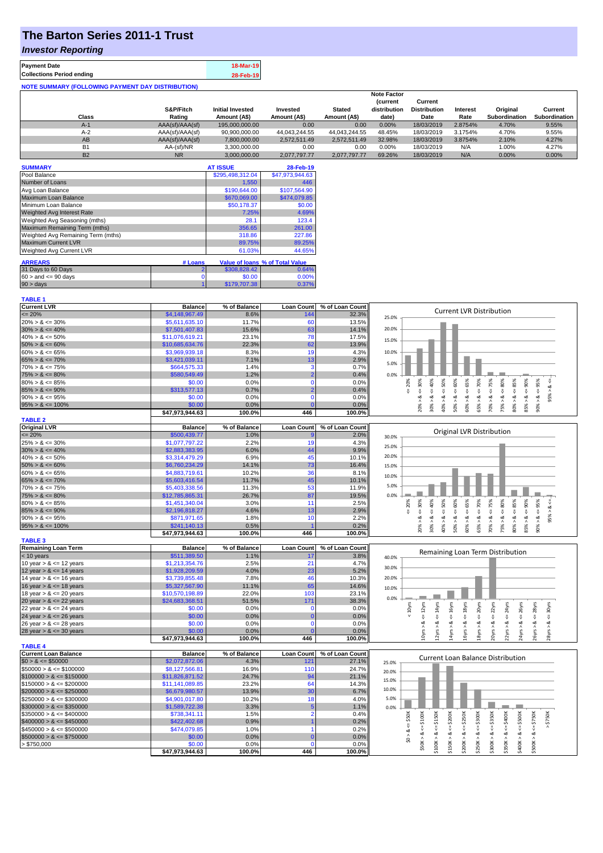# **The Barton Series 2011-1 Trust**

### *Investor Reporting*

**TABLE 1**

| <b>Payment Date</b>                                      | 18-Mar-19 |
|----------------------------------------------------------|-----------|
| <b>Collections Period ending</b>                         | 28-Feb-19 |
| <b>NOTE SUMMARY (FOLLOWING PAYMENT DAY DISTRIBUTION)</b> |           |

|           |                 |                         |               |               | <b>Note Factor</b> |                     |                 |               |               |
|-----------|-----------------|-------------------------|---------------|---------------|--------------------|---------------------|-----------------|---------------|---------------|
|           |                 |                         |               |               | <b>Current</b>     | Current             |                 |               |               |
|           | S&P/Fitch       | <b>Initial Invested</b> | Invested      | <b>Stated</b> | distribution       | <b>Distribution</b> | <b>Interest</b> | Original      | Current       |
| Class     | Rating          | Amount (A\$)            | Amount (A\$)  | Amount (A\$)  | date)              | Date                | Rate            | Subordination | Subordination |
| $A-1$     | AAA(sf)/AAA(sf) | 195,000,000,00          | 0.00          | 0.00          | 0.00%              | 18/03/2019          | 2.8754%         | 4.70%         | 9.55%         |
| $A-2$     | AAA(sf)/AAA(sf) | 90,900,000.00           | 44.043.244.55 | 44.043.244.55 | 48.45%             | 18/03/2019          | 3.1754%         | 4.70%         | 9.55%         |
| AB        | AAA(sf)/AAA(sf) | 7.800.000.00            | 2.572.511.49  | 2.572.511.49  | 32.98%             | 18/03/2019          | 3.8754%         | 2.10%         | 4.27%         |
| <b>B1</b> | AA-(sf)/NR      | 3.300.000.00            | 0.00          | 0.00          | $0.00\%$           | 18/03/2019          | N/A             | 1.00%         | 4.27%         |
| <b>B2</b> | <b>NR</b>       | 3.000.000.00            | 2.077.797.77  | 2.077.797.77  | 69.26%             | 18/03/2019          | N/A             | $0.00\%$      | 0.00%         |

| <b>SUMMARY</b>                     |         | <b>AT ISSUE</b>  | 28-Feb-19                       |
|------------------------------------|---------|------------------|---------------------------------|
| Pool Balance                       |         | \$295,498,312.04 | \$47,973,944.63                 |
| Number of Loans                    |         | 1,550            | 446                             |
| Avg Loan Balance                   |         | \$190,644.00     | \$107.564.90                    |
| Maximum Loan Balance               |         | \$670,069.00     | \$474,079.85                    |
| Minimum Loan Balance               |         | \$50,178.37      | \$0.00                          |
| <b>Weighted Avg Interest Rate</b>  |         | 7.25%            | 4.69%                           |
| Weighted Avg Seasoning (mths)      |         | 28.1             | 123.4                           |
| Maximum Remaining Term (mths)      |         | 356.65           | 261.00                          |
| Weighted Avg Remaining Term (mths) |         | 318.86           | 227.86                          |
| <b>Maximum Current LVR</b>         |         | 89.75%           | 89.25%                          |
| Weighted Avg Current LVR           |         | 61.03%           | 44.65%                          |
| <b>ARREARS</b>                     | # Loans |                  | Value of loans % of Total Value |
| 31 Days to 60 Days                 | 2       | \$308,828.42     | 0.64%                           |
|                                    |         |                  |                                 |
| $60 >$ and $\leq 90$ days          | 0       | \$0.00           | 0.00%                           |
| $90 > \text{days}$                 |         | \$179,707.38     | 0.37%                           |

| <b>Current LVR</b>                           | <b>Balance</b>  | % of Balance | <b>Loan Count</b> | % of Loan Count | <b>Current LVR Distribution</b>                                                                                                                                                                                                      |
|----------------------------------------------|-----------------|--------------|-------------------|-----------------|--------------------------------------------------------------------------------------------------------------------------------------------------------------------------------------------------------------------------------------|
| $\leq$ 20%                                   | \$4,148,967.49  | 8.6%         | 144               | 32.3%           | 25.0%                                                                                                                                                                                                                                |
| $20\% > 8 \le 30\%$                          | \$5,611,635.10  | 11.7%        | 60                | 13.5%           |                                                                                                                                                                                                                                      |
| $30\% > 8 \le 40\%$                          | \$7,501,407.83  | 15.6%        | 63                | 14.1%           | 20.0%                                                                                                                                                                                                                                |
| $40\% > 8 \le 50\%$                          | \$11,076,619.21 | 23.1%        | 78                | 17.5%           | 15.0%                                                                                                                                                                                                                                |
| $50\% > 8 \le 60\%$                          | \$10,685,634.76 | 22.3%        | 62                | 13.9%           |                                                                                                                                                                                                                                      |
| $60\% > 8 \le 65\%$                          | \$3,969,939.18  | 8.3%         | 19                | 4.3%            | 10.0%                                                                                                                                                                                                                                |
| $65\% > 8 \le 70\%$                          | \$3,421,039.11  | 7.1%         | 13                | 2.9%            | 5.0%                                                                                                                                                                                                                                 |
| $70\% > 8 \le 75\%$                          | \$664,575.33    | 1.4%         | з                 | 0.7%            |                                                                                                                                                                                                                                      |
| $75\% > 8 \le 80\%$                          | \$580,549.49    | 1.2%         |                   | 0.4%            | 0.0%                                                                                                                                                                                                                                 |
| $80\% > 8 \le 85\%$                          | \$0.00          | 0.0%         |                   | 0.0%            | 70%<br>20%<br>$<=$ 30%<br>95%<br>ವ                                                                                                                                                                                                   |
| $85\% > 8 \le 90\%$                          | \$313,577.13    | 0.7%         |                   | 0.4%            | $8 - 60%$<br>$<=65\%$<br>$<=40\%$<br>$8 - 50%$<br>$<=75%$<br>$<=80\%$<br>$8 \leq$<br>8 < 1                                                                                                                                           |
| $90\% > 8 \le 95\%$                          | \$0.00          | 0.0%         | $\Omega$          | 0.0%            | 95% ><br>∞                                                                                                                                                                                                                           |
| $95\% > 8 \le 100\%$                         | \$0.00          | 0.0%         |                   | 0.0%            | $80\% > 8 <= 85\%$<br>$85\% > 8 <= 90\%$<br>$70\%$ $>$<br>75%<br>90% ><br>20% ><br>30% ><br>40% ><br>50% ><br>$60\%$ $>$<br>65% >                                                                                                    |
|                                              | \$47,973,944.63 | 100.0%       | 446               | 100.0%          |                                                                                                                                                                                                                                      |
| <b>TABLE 2</b>                               |                 |              |                   |                 |                                                                                                                                                                                                                                      |
| <b>Original LVR</b>                          | <b>Balance</b>  | % of Balance | <b>Loan Count</b> | % of Loan Count | Original LVR Distribution                                                                                                                                                                                                            |
| $= 20%$                                      | \$500,439.77    | 1.0%         |                   | 2.0%            | 30.0%                                                                                                                                                                                                                                |
| $25\% > 8 \le 30\%$                          | \$1,077,797.22  | 2.2%         | 19                | 4.3%            | 25.0%                                                                                                                                                                                                                                |
| $30\% > 8 \le 40\%$                          | \$2,883,383.95  | 6.0%         | 44                | 9.9%            |                                                                                                                                                                                                                                      |
| $40\% > 8 \le 50\%$                          | \$3,314,479.29  | 6.9%         | 45                | 10.1%           | 20.0%                                                                                                                                                                                                                                |
| $50\% > 8 \le 60\%$                          | \$6,760,234.29  | 14.1%        | 73                | 16.4%           | 15.0%                                                                                                                                                                                                                                |
| $60\% > 8 \le 65\%$                          | \$4,883,719.61  | 10.2%        | 36                | 8.1%            | 10.0%                                                                                                                                                                                                                                |
| $65\% > 8 \le 70\%$                          | \$5,603,416.54  | 11.7%        | 45                | 10.1%           | 5.0%                                                                                                                                                                                                                                 |
| $70\% > 8 \le 75\%$                          | \$5,403,338.56  | 11.3%        | 53                | 11.9%           |                                                                                                                                                                                                                                      |
| $75\% > 8 \le 80\%$                          | \$12,785,865.31 | 26.7%        | 87                | 19.5%           | 0.0%                                                                                                                                                                                                                                 |
| $80\% > 8 \le 85\%$                          | \$1,451,340.04  | 3.0%         | 11                | 2.5%            | $\le 65\%$<br>$4 = 70\%$<br>$\leq 80\%$<br>95%<br>30%<br>$\epsilon = 50\%$<br>20%                                                                                                                                                    |
| $85\% > 8 \le 90\%$                          | \$2,196,818.27  | 4.6%         | 13                | 2.9%            | $<=60%$<br>$<=40\%$<br>95% > 8 <<br>IJ,<br>V<br>₩                                                                                                                                                                                    |
| $90\% > 8 \le 95\%$                          | \$871,971.65    | 1.8%         | 10                | 2.2%            | $\dot{\infty}$<br>ಷ<br>ಳ<br>ø<br>∞<br>∞                                                                                                                                                                                              |
| $95\% > 8 \le 100\%$                         | \$241,140.13    | 0.5%         |                   | 0.2%            | $85\% > 8 \leq 90\%$<br>$70\% > 8 <= 75\%$<br>$80\% > 8 <= 85\%$<br>30% ><br>60% ><br>75% ><br>90% ><br>20% ><br>40% ><br>50% ><br>65% >                                                                                             |
|                                              | \$47,973,944.63 | 100.0%       | 446               | 100.0%          |                                                                                                                                                                                                                                      |
| <b>TABLE 3</b><br><b>Remaining Loan Term</b> | <b>Balance</b>  | % of Balance | <b>Loan Count</b> | % of Loan Count |                                                                                                                                                                                                                                      |
| $< 10$ years                                 | \$511,389.50    | 1.1%         | 17                | 3.8%            | Remaining Loan Term Distribution                                                                                                                                                                                                     |
| 10 year $> 8 \le 12$ years                   | \$1,213,354.76  | 2.5%         | 21                | 4.7%            | 40.0%                                                                                                                                                                                                                                |
| 12 year $> 8 \le 14$ years                   | \$1,928,209.59  | 4.0%         | 23                | 5.2%            | 30.0%                                                                                                                                                                                                                                |
| 14 year $> 8 \le 16$ years                   | \$3,739,855.48  | 7.8%         | 46                | 10.3%           | 20.0%                                                                                                                                                                                                                                |
| 16 year $> 8 \le 18$ years                   | \$5,327,567.90  | 11.1%        | 65                | 14.6%           |                                                                                                                                                                                                                                      |
| 18 year $> 8 \le 20$ years                   | \$10,570,198.89 | 22.0%        | 103               | 23.1%           | 10.0%                                                                                                                                                                                                                                |
| 20 year $> 8 \le 22$ years                   | \$24,683,368.51 | 51.5%        | 171               | 38.3%           | 0.0%                                                                                                                                                                                                                                 |
| 22 year $> 8 \le 24$ years                   | \$0.00          | 0.0%         | $\Omega$          | 0.0%            | 20yrs                                                                                                                                                                                                                                |
| 24 year $> 8 \le 26$ years                   | \$0.00          | 0.0%         |                   | 0.0%            | $\leq 14$ yrs<br>$<$ 16 $y$ rs<br>$\leq 18$ yrs<br>$\leq$ 22 $\gamma$ rs<br>$\epsilon$ = 24yrs<br>$\leq$ 26yrs<br>$< 10$ yrs<br>$\leq$ 28yrs<br>$\epsilon$ = 12 $\gamma$ rs<br>$4 = 30$ yrs<br>쁑                                     |
| 26 year $> 8 \le 28$ years                   | \$0.00          | 0.0%         | r                 | 0.0%            | ಷ<br>œ<br>∞<br>ಷ                                                                                                                                                                                                                     |
| 28 year $> 8 \le 30$ years                   | \$0.00          | 0.0%         |                   | 0.0%            | 12yrs > 8<br>14yrs > 8<br>10yrs > 8<br>L8yrs >                                                                                                                                                                                       |
|                                              | \$47,973,944.63 | 100.0%       | 446               | 100.0%          | 20yrs > 8<br>22yrs > 8<br>24yrs > 8<br>16yrs > 8<br>26yrs > 8<br>28yrs >                                                                                                                                                             |
| <b>TABLE 4</b>                               |                 |              |                   |                 |                                                                                                                                                                                                                                      |
| <b>Current Loan Balance</b>                  | <b>Balance</b>  | % of Balance | <b>Loan Count</b> | % of Loan Count |                                                                                                                                                                                                                                      |
| $$0 > 8 \leq $50000$                         | \$2,072,872.06  | 4.3%         | 121               | 27.1%           | <b>Current Loan Balance Distribution</b><br>25.0%                                                                                                                                                                                    |
| $$50000 > 8 \le $100000$                     | \$8,127,566.81  | 16.9%        | 11C               | 24.7%           | 20.0%                                                                                                                                                                                                                                |
| $$100000 > 8 \le $150000$                    | \$11,826,871.52 | 24.7%        | 94                | 21.1%           |                                                                                                                                                                                                                                      |
| $$150000 > 8 \leq $200000$                   | \$11,141,089.85 | 23.2%        | 64                | 14.3%           | 15.0%                                                                                                                                                                                                                                |
| $$200000 > 8 \leq $250000$                   | \$6,679,980.57  | 13.9%        | 30                | 6.7%            | 10.0%                                                                                                                                                                                                                                |
|                                              |                 |              |                   |                 |                                                                                                                                                                                                                                      |
| $$250000 > 8 \leq $300000$                   | \$4,901,017.80  | 10.2%        | 18                | 4.0%            | 5.0%                                                                                                                                                                                                                                 |
| $$300000 > 8 \leq $350000$                   | \$1,589,722.38  | 3.3%         |                   | 1.1%            | 0.0%                                                                                                                                                                                                                                 |
| $$350000 > 8 \leq $400000$                   | \$738,341.11    | 1.5%         |                   | 0.4%            |                                                                                                                                                                                                                                      |
| $$400000 > 8 \leq $450000$                   | \$422,402.68    | 0.9%         |                   | 0.2%            |                                                                                                                                                                                                                                      |
| $$450000 > 8 \le $500000$                    | \$474,079.85    | 1.0%         |                   | 0.2%            | $>$ \$750K                                                                                                                                                                                                                           |
| $$500000 > 8 \leq $750000$                   | \$0.00          | 0.0%         |                   | 0.0%            |                                                                                                                                                                                                                                      |
| > \$750,000                                  | \$0.00          | 0.0%         | n                 | 0.0%            | $$50K > 8 <= $100K$<br>$$0 > 8 <= $50K$$<br>$$100K > 8 <= $150K$<br>$$250K > <= $300K$<br>$$300K > 8 <= $350K$<br>$$150K > 8 <= $200K$<br>$$200K > <= $250K$<br>$$350K > 8 <= $400K$<br>$$400K > 8 <= $500K$<br>$$500K > 8 <= $750K$ |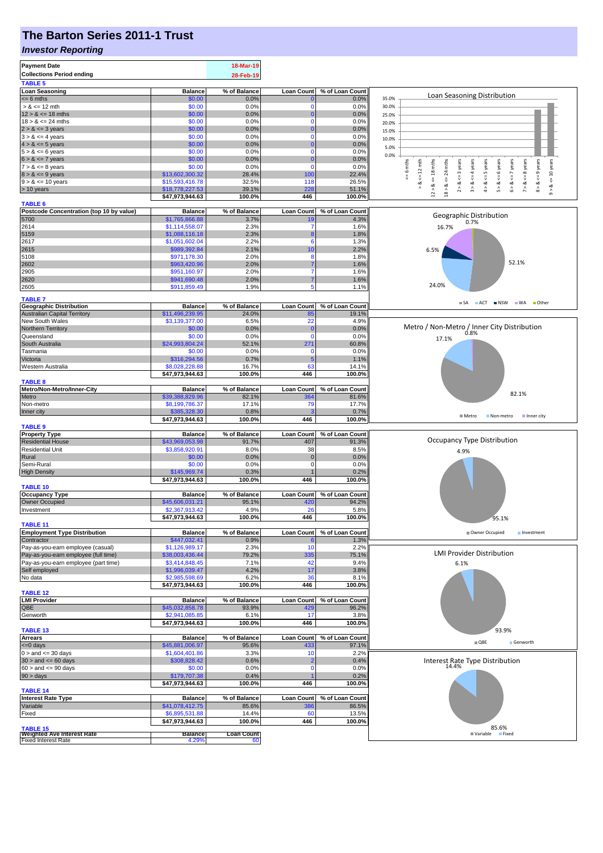## **The Barton Series 2011-1 Trust**

#### *Investor Reporting*

| <b>Payment Date</b><br><b>Collections Period ending</b><br><b>TABLE 5</b> |                                   | 18-Mar-19<br>28-Feb-19 |                          |                          |                                                                                                                                                              |
|---------------------------------------------------------------------------|-----------------------------------|------------------------|--------------------------|--------------------------|--------------------------------------------------------------------------------------------------------------------------------------------------------------|
| <b>Loan Seasoning</b>                                                     | <b>Balance</b>                    | % of Balance           | Loan Count               | % of Loan Count          |                                                                                                                                                              |
| $= 6$ mths                                                                | \$0.00                            | 0.0%                   |                          | 0.0%                     | <b>Loan Seasoning Distribution</b><br>35.0%                                                                                                                  |
| $> 8 \le 12$ mth                                                          | \$0.00                            | 0.0%                   | $\Omega$                 | 0.0%                     | 30.0%                                                                                                                                                        |
| $12 > 8 \le 18$ mths<br>$18 > 8 \le 24$ mths                              | \$0.00<br>\$0.00                  | 0.0%<br>0.0%           | 0<br>$\Omega$            | 0.0%<br>0.0%             | 25.0%                                                                                                                                                        |
| $2 > 8 \le 3$ years                                                       | \$0.00                            | 0.0%                   |                          | 0.0%                     | 20.0%<br>15.0%                                                                                                                                               |
| $3 > 8 \le 4$ years                                                       | \$0.00                            | 0.0%                   | $\Omega$                 | 0.0%                     | 10.0%                                                                                                                                                        |
| $4 > 8 \le 5$ years                                                       | \$0.00                            | 0.0%                   |                          | 0.0%                     | 5.0%                                                                                                                                                         |
| $5 > 8 \le 6$ years                                                       | \$0.00                            | 0.0%                   | $\Omega$                 | 0.0%                     | 0.0%                                                                                                                                                         |
| $6 > 8 \le 7$ years                                                       | \$0.00<br>\$0.00                  | 0.0%<br>0.0%           | C<br>$\Omega$            | 0.0%                     | $<=10$ years<br>24 mths                                                                                                                                      |
| $7 > 8 \le 8$ years<br>$8 > 8 \le 9$ years                                | \$13,602,300.32                   | 28.4%                  | 10C                      | 0.0%<br>22.4%            | $x = 6$ mths<br>$\leq$ = 4 years<br>$\le$ = 6 years<br>$\leq$ = 8 years<br>$\leq 12$ mth                                                                     |
| $9 > 8 \le 10$ years                                                      | \$15,593,416.78                   | 32.5%                  | 118                      | 26.5%                    | $8 > 8 \leq 9$ years<br>$2 > 8 < z = 3$ years<br>$4 > 8 < z = 5$ years<br>$6 > 8 < z < 7$ years<br>$\stackrel{\scriptscriptstyle{  }}{\mathsf{v}}$<br>œ<br>ಷ |
| > 10 years                                                                | \$18,778,227.53                   | 39.1%                  | 228                      | 51.1%                    | $12 > 8$ <= 18 mths<br>5 > 8<br>7 > 8<br>18 > 8.<br>Λ<br>$\hat{\hat{}}$<br>$\hat{\circ}$                                                                     |
|                                                                           | \$47,973,944.63                   | 100.0%                 | 446                      | 100.0%                   |                                                                                                                                                              |
| <b>TABLE 6</b><br>Postcode Concentration (top 10 by value)                | <b>Balance</b>                    | % of Balance           | <b>Loan Count</b>        | % of Loan Count          |                                                                                                                                                              |
| 5700                                                                      | \$1,765,866.88                    | 3.7%                   | 19                       | 4.3%                     | Geographic Distribution                                                                                                                                      |
| 2614                                                                      | \$1,114,558.07                    | 2.3%                   | 7                        | 1.6%                     | 0.7%<br>16.7%                                                                                                                                                |
| 5159                                                                      | \$1,088,116.18                    | 2.3%                   |                          | 1.8%                     |                                                                                                                                                              |
| 2617                                                                      | \$1,051,602.04                    | 2.2%                   | 6                        | 1.3%                     |                                                                                                                                                              |
| 2615<br>5108                                                              | \$989,392.84<br>\$971,178.30      | 2.1%<br>2.0%           | 10<br>8                  | 2.2%<br>1.8%             | 6.5%                                                                                                                                                         |
| 2602                                                                      | \$963,420.96                      | 2.0%                   |                          | 1.6%                     | 52.1%                                                                                                                                                        |
| 2905                                                                      | \$951,160.97                      | 2.0%                   |                          | 1.6%                     |                                                                                                                                                              |
| 2620                                                                      | \$941,690.48                      | 2.0%                   |                          | 1.6%                     |                                                                                                                                                              |
| 2605                                                                      | \$911,859.49                      | 1.9%                   | 5                        | 1.1%                     | 24.0%                                                                                                                                                        |
| <b>TABLE 7</b>                                                            |                                   |                        |                          |                          |                                                                                                                                                              |
| <b>Geographic Distribution</b>                                            | <b>Balance</b>                    | % of Balance           | <b>Loan Count</b>        | % of Loan Count          | SA ACT INSW WA Other                                                                                                                                         |
| <b>Australian Capital Territory</b>                                       | \$11,496,239.95                   | 24.0%                  | 85                       | 19.1%                    |                                                                                                                                                              |
| New South Wales<br>Northern Territory                                     | \$3,139,377.00<br>\$0.00          | 6.5%<br>0.0%           | 22                       | 4.9%<br>0.0%             | Metro / Non-Metro / Inner City Distribution                                                                                                                  |
| Queensland                                                                | \$0.00                            | 0.0%                   | 0                        | 0.0%                     | 0.8%<br>17.1%                                                                                                                                                |
| South Australia                                                           | \$24,993,804.24                   | 52.1%                  | 27'                      | 60.8%                    |                                                                                                                                                              |
| Tasmania                                                                  | \$0.00                            | 0.0%                   | $\Omega$                 | 0.0%                     |                                                                                                                                                              |
| Victoria                                                                  | \$316,294.56                      | 0.7%                   | 5                        | 1.1%                     |                                                                                                                                                              |
| Western Australia                                                         | \$8,028,228.88<br>\$47,973,944.63 | 16.7%<br>100.0%        | 63<br>446                | 14.1%<br>100.0%          |                                                                                                                                                              |
| <b>TABLE 8</b>                                                            |                                   |                        |                          |                          |                                                                                                                                                              |
| Metro/Non-Metro/Inner-City                                                | <b>Balance</b>                    | % of Balance           | <b>Loan Count</b>        | % of Loan Count          |                                                                                                                                                              |
| Metro                                                                     | \$39,388,829.96                   | 82.1%                  | 364                      | 81.6%                    | 82.1%                                                                                                                                                        |
| Non-metro                                                                 | \$8,199,786.37                    | 17.1%                  | 79                       | 17.7%                    |                                                                                                                                                              |
| Inner city                                                                | \$385,328.30<br>\$47,973,944.63   | 0.8%<br>100.0%         | 446                      | 0.7%<br>100.0%           | ■ Metro<br>Non-metro<br>Inner city                                                                                                                           |
| <b>TABLE 9</b>                                                            |                                   |                        |                          |                          |                                                                                                                                                              |
| <b>Property Type</b>                                                      | <b>Balance</b>                    | % of Balance           | <b>Loan Count</b>        | % of Loan Count          |                                                                                                                                                              |
| <b>Residential House</b>                                                  | \$43,969,053.98                   | 91.7%                  | 407                      | 91.3%                    | Occupancy Type Distribution                                                                                                                                  |
| <b>Residential Unit</b><br>Rural                                          | \$3,858,920.91<br>\$0.00          | 8.0%<br>0.0%           | 38<br>$\mathbf 0$        | 8.5%<br>0.0%             | 4.9%                                                                                                                                                         |
| Semi-Rural                                                                | \$0.00                            | 0.0%                   | 0                        | 0.0%                     |                                                                                                                                                              |
| <b>High Density</b>                                                       | \$145,969.74                      | 0.3%                   |                          | 0.2%                     |                                                                                                                                                              |
|                                                                           | \$47,973,944.63                   | 100.0%                 | 446                      | 100.0%                   |                                                                                                                                                              |
| <b>TABLE 10</b>                                                           |                                   |                        |                          |                          |                                                                                                                                                              |
| <b>Occupancy Type</b><br><b>Owner Occupied</b>                            | <b>Balance</b><br>\$45,606,031.21 | % of Balance<br>95.1%  | <b>Loan Count</b><br>420 | % of Loan Count<br>94.2% |                                                                                                                                                              |
| Investment                                                                | \$2.367.913.42                    | 4.9%                   | 26                       | 5.8%                     |                                                                                                                                                              |
|                                                                           | \$47,973,944.63                   | 100.0%                 | 446                      | 100.0%                   | 95.1%                                                                                                                                                        |
| <b>TABLE 11</b>                                                           |                                   |                        |                          |                          |                                                                                                                                                              |
| <b>Employment Type Distribution</b>                                       | <b>Balance</b>                    | % of Balance           | <b>Loan Count</b>        | % of Loan Count          | Owner Occupied<br>Investment                                                                                                                                 |
| Contractor<br>Pay-as-you-earn employee (casual)                           | \$447,032.41<br>\$1,126,989.17    | 0.9%<br>2.3%           | 10                       | 1.3%<br>2.2%             |                                                                                                                                                              |
| Pay-as-you-earn employee (full time)                                      | \$38,003,436.44                   | 79.2%                  | 335                      | 75.1%                    | <b>LMI Provider Distribution</b>                                                                                                                             |
| Pay-as-you-earn employee (part time)                                      | \$3,414,848.45                    | 7.1%                   | 42                       | 9.4%                     | 6.1%                                                                                                                                                         |
| Self employed                                                             | \$1,996,039.47                    | 4.2%                   | 17                       | 3.8%                     |                                                                                                                                                              |
| No data                                                                   | \$2,985,598.69                    | 6.2%                   | 36                       | 8.1%                     |                                                                                                                                                              |
| <b>TABLE 12</b>                                                           | \$47,973,944.63                   | 100.0%                 | 446                      | 100.0%                   |                                                                                                                                                              |
| <b>LMI Provider</b>                                                       | <b>Balance</b>                    | % of Balance           | <b>Loan Count</b>        | % of Loan Count          |                                                                                                                                                              |
| QBE                                                                       | \$45,032,858.78                   | 93.9%                  | 429                      | 96.2%                    |                                                                                                                                                              |
| Genworth                                                                  | \$2,941,085.85                    | 6.1%                   | 17                       | 3.8%                     |                                                                                                                                                              |
|                                                                           | \$47,973,944.63                   | 100.0%                 | 446                      | 100.0%                   |                                                                                                                                                              |
| <b>TABLE 13</b><br><b>Arrears</b>                                         | <b>Balance</b>                    | % of Balance           | <b>Loan Count</b>        | % of Loan Count          | 93.9%                                                                                                                                                        |
| $= 0$ days                                                                | \$45,881,006.97                   | 95.6%                  | 433                      | 97.1%                    | $\blacksquare$ QBE<br>Genworth                                                                                                                               |
| $0 >$ and $\leq$ 30 days                                                  | \$1,604,401.86                    | 3.3%                   | 10                       | 2.2%                     |                                                                                                                                                              |
| $30 >$ and $\leq 60$ days                                                 | \$308,828.42                      | 0.6%                   |                          | 0.4%                     | Interest Rate Type Distribution                                                                                                                              |
| $60 >$ and $\leq 90$ days                                                 | \$0.00                            | 0.0%                   | 0                        | 0.0%                     | 14.4%                                                                                                                                                        |
| $90 > \text{days}$                                                        | \$179,707.38<br>\$47,973,944.63   | 0.4%<br>100.0%         | 446                      | 0.2%<br>100.0%           |                                                                                                                                                              |
| <b>TABLE 14</b>                                                           |                                   |                        |                          |                          |                                                                                                                                                              |
| <b>Interest Rate Type</b>                                                 | <b>Balance</b>                    | % of Balance           | <b>Loan Count</b>        | % of Loan Count          |                                                                                                                                                              |
| Variable                                                                  | \$41,078,412.75                   | 85.6%                  | 38                       | 86.5%                    |                                                                                                                                                              |
| Fixed                                                                     | \$6,895,531.88                    | 14.4%                  | 60                       | 13.5%                    |                                                                                                                                                              |
| <b>TABLE 15</b>                                                           | \$47,973,944.63                   | 100.0%                 | 446                      | 100.0%                   | 85.6%                                                                                                                                                        |
| <b>Weighted Ave Interest Rate</b>                                         | <b>Balance</b>                    | <b>Loan Count</b>      |                          |                          | <b>■ Variable</b><br>Fixed                                                                                                                                   |
| <b>Fixed Interest Rate</b>                                                | 4.29%                             | -60                    |                          |                          |                                                                                                                                                              |